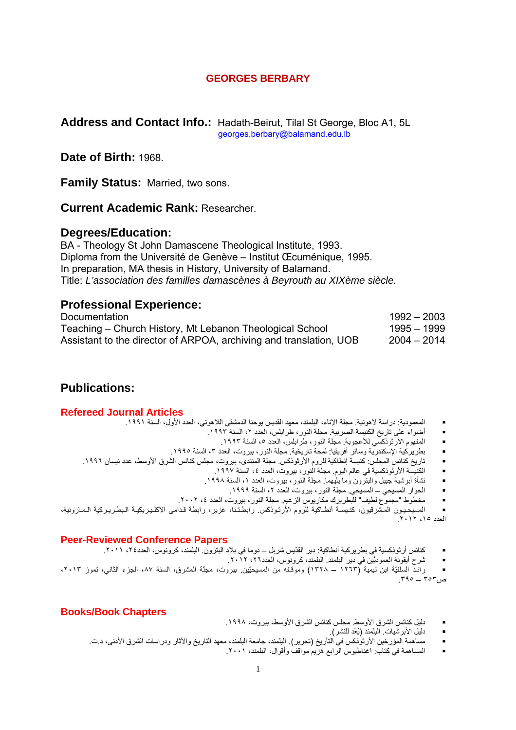## **GEORGES BERBARY**

### **Address and Contact Info.:** Hadath-Beirut, Tilal St George, Bloc A1, 5L georges.berbary@balamand.edu.lb

# **Date of Birth:** 1968.

**Family Status:** Married, two sons.

**Current Academic Rank:** Researcher.

# **Degrees/Education:**

BA - Theology St John Damascene Theological Institute, 1993. Diploma from the Université de Genève – Institut Œcuménique, 1995. In preparation, MA thesis in History, University of Balamand. Title: *L'association des familles damascènes à Beyrouth au XIXème siècle.* 

# **Professional Experience:**

| Documentation                                                      | $1992 - 2003$ |
|--------------------------------------------------------------------|---------------|
| Teaching – Church History, Mt Lebanon Theological School           | 1995 – 1999   |
| Assistant to the director of ARPOA, archiving and translation, UOB | 2004 – 2014   |

# **Publications:**

- المعمودية: دراسة لاهوتية. مجلة الإناء، البلمند، معهد القديس يوحنا الدمشقي اللاهوتي، العدد الأول، السنة .١٩٩١ **Articles Journal Refereed**
	- أضواء على تاريخ الكنيسة الصربية. مجلة النور، طرابلس، العدد ٢، السنة ١٩٩٣.
		- المفهوم الأرثوذُكسي للأعجوبة. مجلة النور، طرابلس، العدد ٥، السنة ١٩٩٣.
	- بطريرآية الإسكندرية وسائر أفريقيا: لمحة تاريخية. مجلة النور، بيروت، العدد ،٣ السنة .١٩٩٥
	- تاريخ كنائس المجلس: كنيسة إنطاكية للروم الأرثوذكس. مجلة المنتدى، بيروت، مجلس كنائس الشرق الأوسط، عدد نيسان ١٩٩٦.
		- الكنيسة الأرثوذكسية في عالم اليوم. مجلة النور، بيروت، العدد ٤، السنة ١٩٩٧.
		- نشأة أبرشية جبيل والبترون وما يليهما. مجلة النور، بيروت، العدد ،١ السنة .١٩٩٨
			- الحوار المسيحي المسيحي. مجلة النور، بيروت، العدد ،٢ السنة .١٩٩٩
		- مخطوط "مجموع لطيف" للبطريرك مكاريوس الزعيم. مجلة النور، بيروت، العدد ،٤ .٢٠٠٢

المسيحـيـون المـشرقيون، كنـيسـة أنطـاكية للروم الأرثـوذكس. رابطـتـنا، غزير، رابطة قـدامى الاكلـيـريكيـة الـبطـريـركية الـمـارونية، العدد ،١٥ .٢٠١٢

- آنائس أرثوذآسية في بطريرآية أنطاآية: دير القدّيس شربل دوما في بلاد البترون. البلمند، آرونوس، العدد،٢٤ .٢٠١١ **Papers Conference Reviewed-Peer**
	- شرح أيقونة العموديَّين في دير البلمند. البلمند، آرونوس، العدد،٢٦ .٢٠١٢

 رائـد السلفيّة ابن تيمية (١٢٦٣ – ١٣٢٨) وموقـفه من المسيحيّين. بيروت، مجلّة المشرق، السنة ،٨٧ الجزء الثاني، تموز ،٢٠١٣  $r_{10} = r_{0}r_{0}$ ص

- دليل آنائس الشرق الأوسط. مجلس آنائس الشرق الأوسط، بيروت، .١٩٩٨ **Chapters Book/Books**
	- دليل الأبرشيات. البلمند (يُعَد للنشر).
	- مساهمة المؤرخين الأرثوذآس في التأريخ (تحرير). البلمند، جامعة البلمند، معهد التاريخ والآثار ودراسات الشرق الأدنى، د.ت.
		- المساهمة في كتاب: اغناطيوس الرابع هزيم مواقف وأقوال، البلمند، ٢٠٠١.